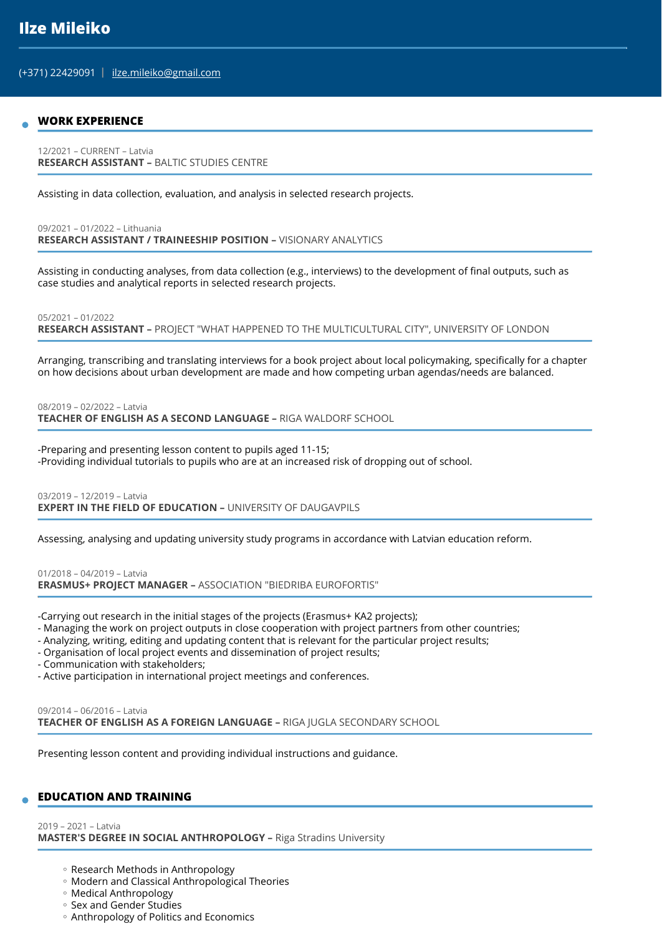(+371) 22429091 | ilze.mileiko@gmail.com

#### **WORK EXPERIENCE**

12/2021 – CURRENT – Latvia **RESEARCH ASSISTANT –** BALTIC STUDIES CENTRE

Assisting in data collection, evaluation, and analysis in selected research projects.

09/2021 – 01/2022 – Lithuania **RESEARCH ASSISTANT / TRAINEESHIP POSITION –** VISIONARY ANALYTICS

Assisting in conducting analyses, from data collection (e.g., interviews) to the development of final outputs, such as case studies and analytical reports in selected research projects.

05/2021 – 01/2022

**RESEARCH ASSISTANT –** PROJECT "WHAT HAPPENED TO THE MULTICULTURAL CITY", UNIVERSITY OF LONDON

Arranging, transcribing and translating interviews for a book project about local policymaking, specifically for a chapter on how decisions about urban development are made and how competing urban agendas/needs are balanced.

08/2019 – 02/2022 – Latvia

**TEACHER OF ENGLISH AS A SECOND LANGUAGE –** RIGA WALDORF SCHOOL

-Preparing and presenting lesson content to pupils aged 11-15; -Providing individual tutorials to pupils who are at an increased risk of dropping out of school.

03/2019 – 12/2019 – Latvia **EXPERT IN THE FIELD OF EDUCATION - UNIVERSITY OF DAUGAVPILS** 

Assessing, analysing and updating university study programs in accordance with Latvian education reform.

01/2018 – 04/2019 – Latvia **ERASMUS+ PROJECT MANAGER –** ASSOCIATION "BIEDRIBA EUROFORTIS"

-Carrying out research in the initial stages of the projects (Erasmus+ KA2 projects);

- Managing the work on project outputs in close cooperation with project partners from other countries;
- Analyzing, writing, editing and updating content that is relevant for the particular project results;
- Organisation of local project events and dissemination of project results;

- Communication with stakeholders;

- Active participation in international project meetings and conferences.

09/2014 – 06/2016 – Latvia **TEACHER OF ENGLISH AS A FOREIGN LANGUAGE –** RIGA JUGLA SECONDARY SCHOOL

Presenting lesson content and providing individual instructions and guidance.

# **EDUCATION AND TRAINING**

2019 – 2021 – Latvia **MASTER'S DEGREE IN SOCIAL ANTHROPOLOGY –** Riga Stradins University

- Research Methods in Anthropology
- Modern and Classical Anthropological Theories ◦
- Medical Anthropology ◦
- Sex and Gender Studies
- Anthropology of Politics and Economics ◦